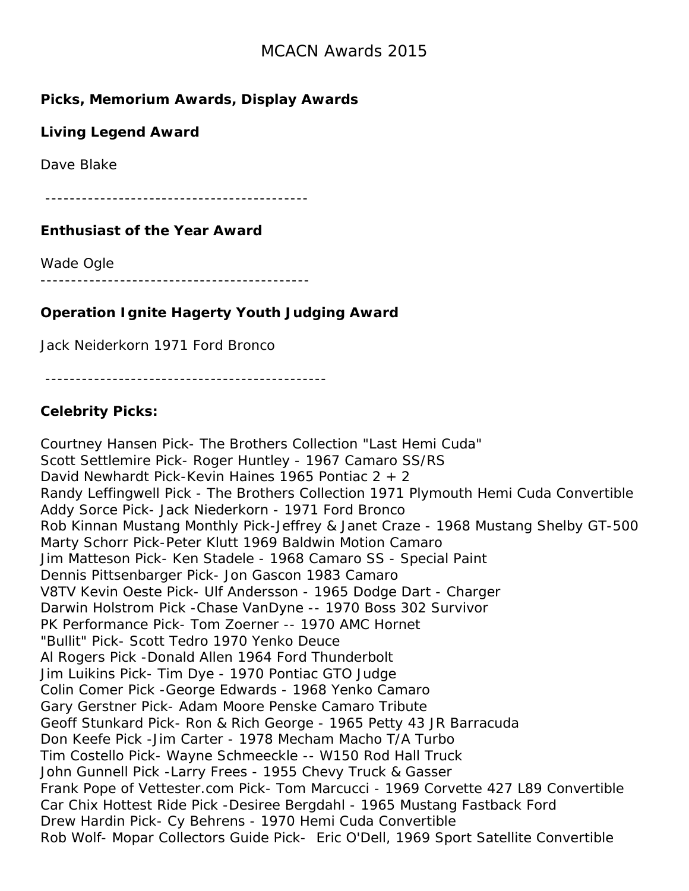### **Picks, Memorium Awards, Display Awards**

### **Living Legend Award**

Dave Blake

-------------------------------------------

#### **Enthusiast of the Year Award**

Wade Ogle

--------------------------------------------

### **Operation Ignite Hagerty Youth Judging Award**

Jack Neiderkorn 1971 Ford Bronco

----------------------------------------------

### **Celebrity Picks:**

Courtney Hansen Pick- The Brothers Collection "Last Hemi Cuda" Scott Settlemire Pick- Roger Huntley - 1967 Camaro SS/RS David Newhardt Pick-Kevin Haines 1965 Pontiac 2 + 2 Randy Leffingwell Pick - The Brothers Collection 1971 Plymouth Hemi Cuda Convertible Addy Sorce Pick- Jack Niederkorn - 1971 Ford Bronco Rob Kinnan Mustang Monthly Pick-Jeffrey & Janet Craze - 1968 Mustang Shelby GT-500 Marty Schorr Pick-Peter Klutt 1969 Baldwin Motion Camaro Jim Matteson Pick- Ken Stadele - 1968 Camaro SS - Special Paint Dennis Pittsenbarger Pick- Jon Gascon 1983 Camaro V8TV Kevin Oeste Pick- Ulf Andersson - 1965 Dodge Dart - Charger Darwin Holstrom Pick -Chase VanDyne -- 1970 Boss 302 Survivor PK Performance Pick- Tom Zoerner -- 1970 AMC Hornet "Bullit" Pick- Scott Tedro 1970 Yenko Deuce Al Rogers Pick -Donald Allen 1964 Ford Thunderbolt Jim Luikins Pick- Tim Dye - 1970 Pontiac GTO Judge Colin Comer Pick -George Edwards - 1968 Yenko Camaro Gary Gerstner Pick- Adam Moore Penske Camaro Tribute Geoff Stunkard Pick- Ron & Rich George - 1965 Petty 43 JR Barracuda Don Keefe Pick -Jim Carter - 1978 Mecham Macho T/A Turbo Tim Costello Pick- Wayne Schmeeckle -- W150 Rod Hall Truck John Gunnell Pick -Larry Frees - 1955 Chevy Truck & Gasser Frank Pope of Vettester.com Pick- Tom Marcucci - 1969 Corvette 427 L89 Convertible Car Chix Hottest Ride Pick -Desiree Bergdahl - 1965 Mustang Fastback Ford Drew Hardin Pick- Cy Behrens - 1970 Hemi Cuda Convertible Rob Wolf- Mopar Collectors Guide Pick- Eric O'Dell, 1969 Sport Satellite Convertible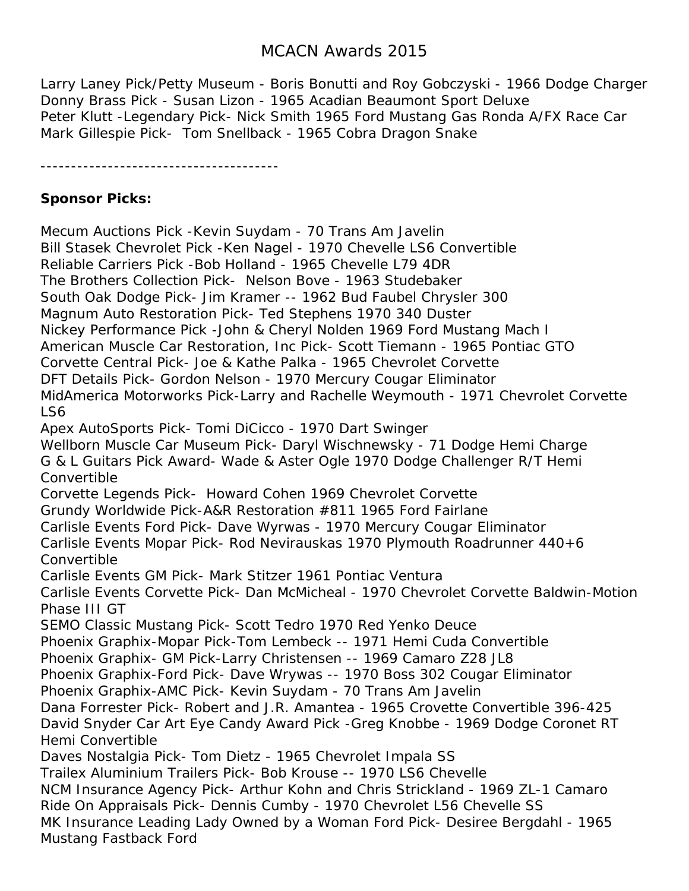Larry Laney Pick/Petty Museum - Boris Bonutti and Roy Gobczyski - 1966 Dodge Charger Donny Brass Pick - Susan Lizon - 1965 Acadian Beaumont Sport Deluxe Peter Klutt -Legendary Pick- Nick Smith 1965 Ford Mustang Gas Ronda A/FX Race Car Mark Gillespie Pick- Tom Snellback - 1965 Cobra Dragon Snake

---------------------------------------

### **Sponsor Picks:**

Mecum Auctions Pick -Kevin Suydam - 70 Trans Am Javelin Bill Stasek Chevrolet Pick -Ken Nagel - 1970 Chevelle LS6 Convertible Reliable Carriers Pick -Bob Holland - 1965 Chevelle L79 4DR The Brothers Collection Pick- Nelson Bove - 1963 Studebaker South Oak Dodge Pick- Jim Kramer -- 1962 Bud Faubel Chrysler 300 Magnum Auto Restoration Pick- Ted Stephens 1970 340 Duster Nickey Performance Pick -John & Cheryl Nolden 1969 Ford Mustang Mach I American Muscle Car Restoration, Inc Pick- Scott Tiemann - 1965 Pontiac GTO Corvette Central Pick- Joe & Kathe Palka - 1965 Chevrolet Corvette DFT Details Pick- Gordon Nelson - 1970 Mercury Cougar Eliminator MidAmerica Motorworks Pick-Larry and Rachelle Weymouth - 1971 Chevrolet Corvette LS6 Apex AutoSports Pick- Tomi DiCicco - 1970 Dart Swinger Wellborn Muscle Car Museum Pick- Daryl Wischnewsky - 71 Dodge Hemi Charge G & L Guitars Pick Award- Wade & Aster Ogle 1970 Dodge Challenger R/T Hemi Convertible Corvette Legends Pick- Howard Cohen 1969 Chevrolet Corvette Grundy Worldwide Pick-A&R Restoration #811 1965 Ford Fairlane Carlisle Events Ford Pick- Dave Wyrwas - 1970 Mercury Cougar Eliminator Carlisle Events Mopar Pick- Rod Nevirauskas 1970 Plymouth Roadrunner 440+6 **Convertible** Carlisle Events GM Pick- Mark Stitzer 1961 Pontiac Ventura Carlisle Events Corvette Pick- Dan McMicheal - 1970 Chevrolet Corvette Baldwin-Motion Phase III GT SEMO Classic Mustang Pick- Scott Tedro 1970 Red Yenko Deuce Phoenix Graphix-Mopar Pick-Tom Lembeck -- 1971 Hemi Cuda Convertible Phoenix Graphix- GM Pick-Larry Christensen -- 1969 Camaro Z28 JL8 Phoenix Graphix-Ford Pick- Dave Wrywas -- 1970 Boss 302 Cougar Eliminator Phoenix Graphix-AMC Pick- Kevin Suydam - 70 Trans Am Javelin Dana Forrester Pick- Robert and J.R. Amantea - 1965 Crovette Convertible 396-425 David Snyder Car Art Eye Candy Award Pick -Greg Knobbe - 1969 Dodge Coronet RT Hemi Convertible Daves Nostalgia Pick- Tom Dietz - 1965 Chevrolet Impala SS Trailex Aluminium Trailers Pick- Bob Krouse -- 1970 LS6 Chevelle NCM Insurance Agency Pick- Arthur Kohn and Chris Strickland - 1969 ZL-1 Camaro Ride On Appraisals Pick- Dennis Cumby - 1970 Chevrolet L56 Chevelle SS MK Insurance Leading Lady Owned by a Woman Ford Pick- Desiree Bergdahl - 1965 Mustang Fastback Ford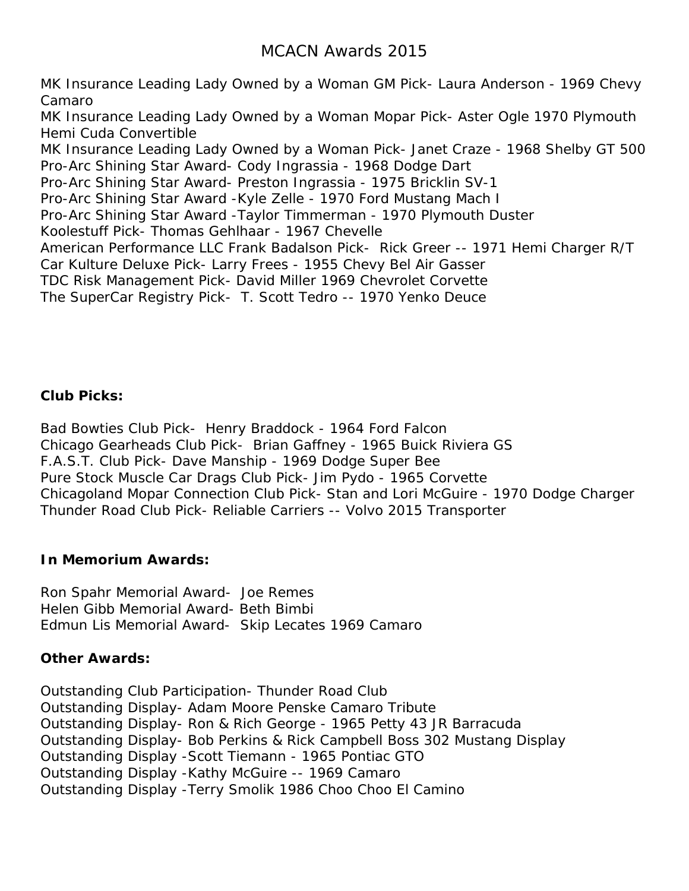MK Insurance Leading Lady Owned by a Woman GM Pick- Laura Anderson - 1969 Chevy Camaro MK Insurance Leading Lady Owned by a Woman Mopar Pick- Aster Ogle 1970 Plymouth Hemi Cuda Convertible MK Insurance Leading Lady Owned by a Woman Pick- Janet Craze - 1968 Shelby GT 500 Pro-Arc Shining Star Award- Cody Ingrassia - 1968 Dodge Dart Pro-Arc Shining Star Award- Preston Ingrassia - 1975 Bricklin SV-1 Pro-Arc Shining Star Award -Kyle Zelle - 1970 Ford Mustang Mach I Pro-Arc Shining Star Award -Taylor Timmerman - 1970 Plymouth Duster Koolestuff Pick- Thomas Gehlhaar - 1967 Chevelle American Performance LLC Frank Badalson Pick- Rick Greer -- 1971 Hemi Charger R/T Car Kulture Deluxe Pick- Larry Frees - 1955 Chevy Bel Air Gasser TDC Risk Management Pick- David Miller 1969 Chevrolet Corvette The SuperCar Registry Pick- T. Scott Tedro -- 1970 Yenko Deuce

### **Club Picks:**

Bad Bowties Club Pick- Henry Braddock - 1964 Ford Falcon Chicago Gearheads Club Pick- Brian Gaffney - 1965 Buick Riviera GS F.A.S.T. Club Pick- Dave Manship - 1969 Dodge Super Bee Pure Stock Muscle Car Drags Club Pick- Jim Pydo - 1965 Corvette Chicagoland Mopar Connection Club Pick- Stan and Lori McGuire - 1970 Dodge Charger Thunder Road Club Pick- Reliable Carriers -- Volvo 2015 Transporter

#### **In Memorium Awards:**

Ron Spahr Memorial Award- Joe Remes Helen Gibb Memorial Award- Beth Bimbi Edmun Lis Memorial Award- Skip Lecates 1969 Camaro

#### **Other Awards:**

Outstanding Club Participation- Thunder Road Club Outstanding Display- Adam Moore Penske Camaro Tribute Outstanding Display- Ron & Rich George - 1965 Petty 43 JR Barracuda Outstanding Display- Bob Perkins & Rick Campbell Boss 302 Mustang Display Outstanding Display -Scott Tiemann - 1965 Pontiac GTO Outstanding Display -Kathy McGuire -- 1969 Camaro Outstanding Display -Terry Smolik 1986 Choo Choo El Camino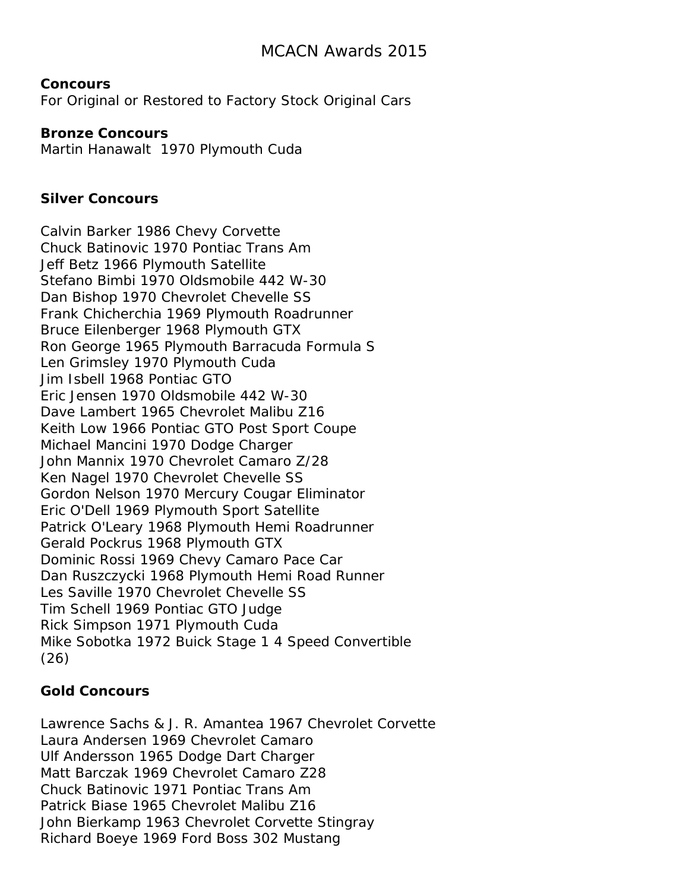**Concours** For Original or Restored to Factory Stock Original Cars

#### **Bronze Concours**

Martin Hanawalt 1970 Plymouth Cuda

#### **Silver Concours**

Calvin Barker 1986 Chevy Corvette Chuck Batinovic 1970 Pontiac Trans Am Jeff Betz 1966 Plymouth Satellite Stefano Bimbi 1970 Oldsmobile 442 W-30 Dan Bishop 1970 Chevrolet Chevelle SS Frank Chicherchia 1969 Plymouth Roadrunner Bruce Eilenberger 1968 Plymouth GTX Ron George 1965 Plymouth Barracuda Formula S Len Grimsley 1970 Plymouth Cuda Jim Isbell 1968 Pontiac GTO Eric Jensen 1970 Oldsmobile 442 W-30 Dave Lambert 1965 Chevrolet Malibu Z16 Keith Low 1966 Pontiac GTO Post Sport Coupe Michael Mancini 1970 Dodge Charger John Mannix 1970 Chevrolet Camaro Z/28 Ken Nagel 1970 Chevrolet Chevelle SS Gordon Nelson 1970 Mercury Cougar Eliminator Eric O'Dell 1969 Plymouth Sport Satellite Patrick O'Leary 1968 Plymouth Hemi Roadrunner Gerald Pockrus 1968 Plymouth GTX Dominic Rossi 1969 Chevy Camaro Pace Car Dan Ruszczycki 1968 Plymouth Hemi Road Runner Les Saville 1970 Chevrolet Chevelle SS Tim Schell 1969 Pontiac GTO Judge Rick Simpson 1971 Plymouth Cuda Mike Sobotka 1972 Buick Stage 1 4 Speed Convertible (26)

#### **Gold Concours**

Lawrence Sachs & J. R. Amantea 1967 Chevrolet Corvette Laura Andersen 1969 Chevrolet Camaro Ulf Andersson 1965 Dodge Dart Charger Matt Barczak 1969 Chevrolet Camaro Z28 Chuck Batinovic 1971 Pontiac Trans Am Patrick Biase 1965 Chevrolet Malibu Z16 John Bierkamp 1963 Chevrolet Corvette Stingray Richard Boeye 1969 Ford Boss 302 Mustang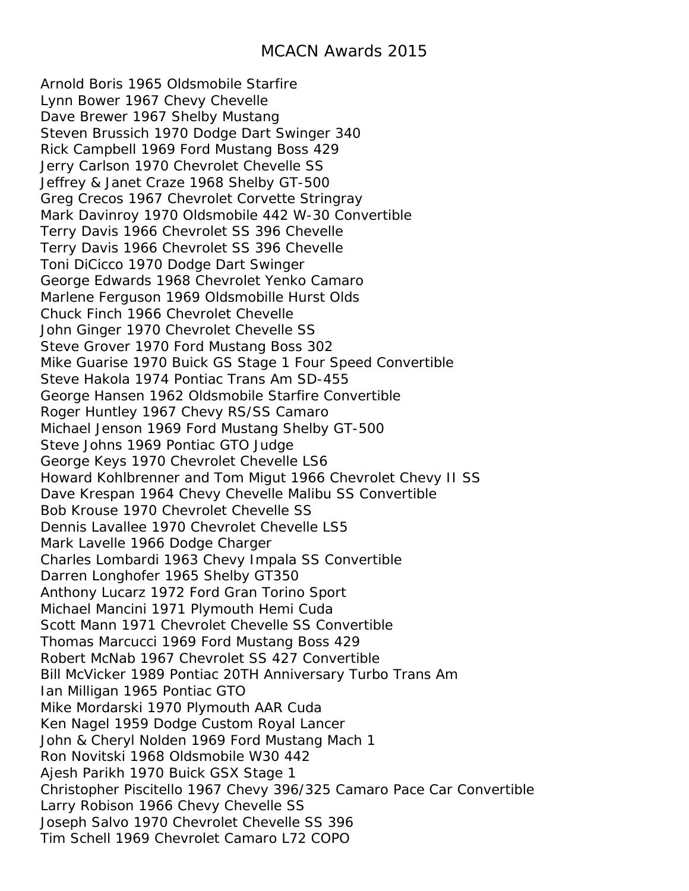Arnold Boris 1965 Oldsmobile Starfire Lynn Bower 1967 Chevy Chevelle Dave Brewer 1967 Shelby Mustang Steven Brussich 1970 Dodge Dart Swinger 340 Rick Campbell 1969 Ford Mustang Boss 429 Jerry Carlson 1970 Chevrolet Chevelle SS Jeffrey & Janet Craze 1968 Shelby GT-500 Greg Crecos 1967 Chevrolet Corvette Stringray Mark Davinroy 1970 Oldsmobile 442 W-30 Convertible Terry Davis 1966 Chevrolet SS 396 Chevelle Terry Davis 1966 Chevrolet SS 396 Chevelle Toni DiCicco 1970 Dodge Dart Swinger George Edwards 1968 Chevrolet Yenko Camaro Marlene Ferguson 1969 Oldsmobille Hurst Olds Chuck Finch 1966 Chevrolet Chevelle John Ginger 1970 Chevrolet Chevelle SS Steve Grover 1970 Ford Mustang Boss 302 Mike Guarise 1970 Buick GS Stage 1 Four Speed Convertible Steve Hakola 1974 Pontiac Trans Am SD-455 George Hansen 1962 Oldsmobile Starfire Convertible Roger Huntley 1967 Chevy RS/SS Camaro Michael Jenson 1969 Ford Mustang Shelby GT-500 Steve Johns 1969 Pontiac GTO Judge George Keys 1970 Chevrolet Chevelle LS6 Howard Kohlbrenner and Tom Migut 1966 Chevrolet Chevy II SS Dave Krespan 1964 Chevy Chevelle Malibu SS Convertible Bob Krouse 1970 Chevrolet Chevelle SS Dennis Lavallee 1970 Chevrolet Chevelle LS5 Mark Lavelle 1966 Dodge Charger Charles Lombardi 1963 Chevy Impala SS Convertible Darren Longhofer 1965 Shelby GT350 Anthony Lucarz 1972 Ford Gran Torino Sport Michael Mancini 1971 Plymouth Hemi Cuda Scott Mann 1971 Chevrolet Chevelle SS Convertible Thomas Marcucci 1969 Ford Mustang Boss 429 Robert McNab 1967 Chevrolet SS 427 Convertible Bill McVicker 1989 Pontiac 20TH Anniversary Turbo Trans Am Ian Milligan 1965 Pontiac GTO Mike Mordarski 1970 Plymouth AAR Cuda Ken Nagel 1959 Dodge Custom Royal Lancer John & Cheryl Nolden 1969 Ford Mustang Mach 1 Ron Novitski 1968 Oldsmobile W30 442 Ajesh Parikh 1970 Buick GSX Stage 1 Christopher Piscitello 1967 Chevy 396/325 Camaro Pace Car Convertible Larry Robison 1966 Chevy Chevelle SS Joseph Salvo 1970 Chevrolet Chevelle SS 396 Tim Schell 1969 Chevrolet Camaro L72 COPO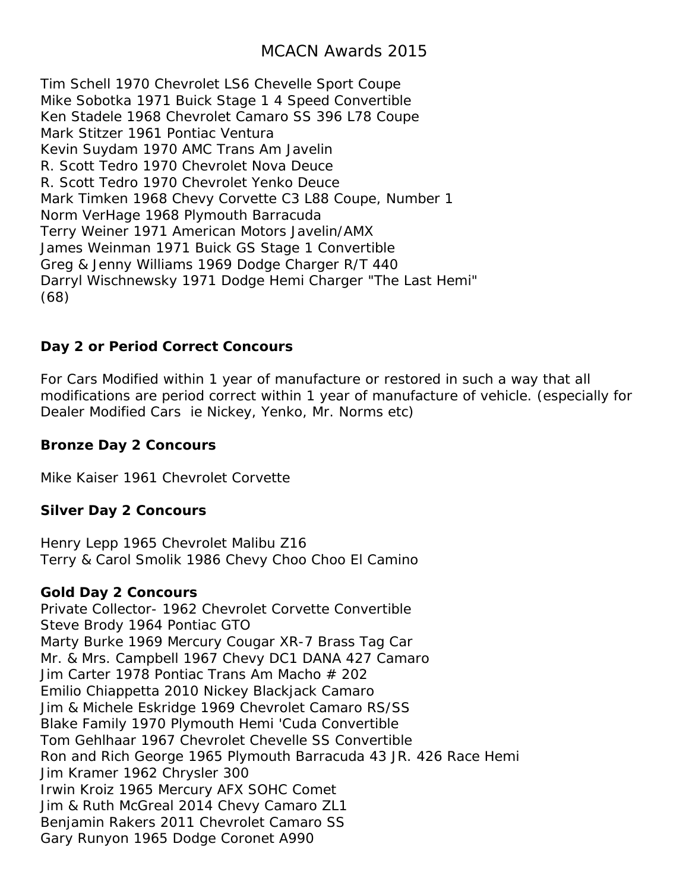Tim Schell 1970 Chevrolet LS6 Chevelle Sport Coupe Mike Sobotka 1971 Buick Stage 1 4 Speed Convertible Ken Stadele 1968 Chevrolet Camaro SS 396 L78 Coupe Mark Stitzer 1961 Pontiac Ventura Kevin Suydam 1970 AMC Trans Am Javelin R. Scott Tedro 1970 Chevrolet Nova Deuce R. Scott Tedro 1970 Chevrolet Yenko Deuce Mark Timken 1968 Chevy Corvette C3 L88 Coupe, Number 1 Norm VerHage 1968 Plymouth Barracuda Terry Weiner 1971 American Motors Javelin/AMX James Weinman 1971 Buick GS Stage 1 Convertible Greg & Jenny Williams 1969 Dodge Charger R/T 440 Darryl Wischnewsky 1971 Dodge Hemi Charger "The Last Hemi" (68)

### **Day 2 or Period Correct Concours**

For Cars Modified within 1 year of manufacture or restored in such a way that all modifications are period correct within 1 year of manufacture of vehicle. (especially for Dealer Modified Cars ie Nickey, Yenko, Mr. Norms etc)

### **Bronze Day 2 Concours**

Mike Kaiser 1961 Chevrolet Corvette

#### **Silver Day 2 Concours**

Henry Lepp 1965 Chevrolet Malibu Z16 Terry & Carol Smolik 1986 Chevy Choo Choo El Camino

#### **Gold Day 2 Concours**

Private Collector- 1962 Chevrolet Corvette Convertible Steve Brody 1964 Pontiac GTO Marty Burke 1969 Mercury Cougar XR-7 Brass Tag Car Mr. & Mrs. Campbell 1967 Chevy DC1 DANA 427 Camaro Jim Carter 1978 Pontiac Trans Am Macho # 202 Emilio Chiappetta 2010 Nickey Blackjack Camaro Jim & Michele Eskridge 1969 Chevrolet Camaro RS/SS Blake Family 1970 Plymouth Hemi 'Cuda Convertible Tom Gehlhaar 1967 Chevrolet Chevelle SS Convertible Ron and Rich George 1965 Plymouth Barracuda 43 JR. 426 Race Hemi Jim Kramer 1962 Chrysler 300 Irwin Kroiz 1965 Mercury AFX SOHC Comet Jim & Ruth McGreal 2014 Chevy Camaro ZL1 Benjamin Rakers 2011 Chevrolet Camaro SS Gary Runyon 1965 Dodge Coronet A990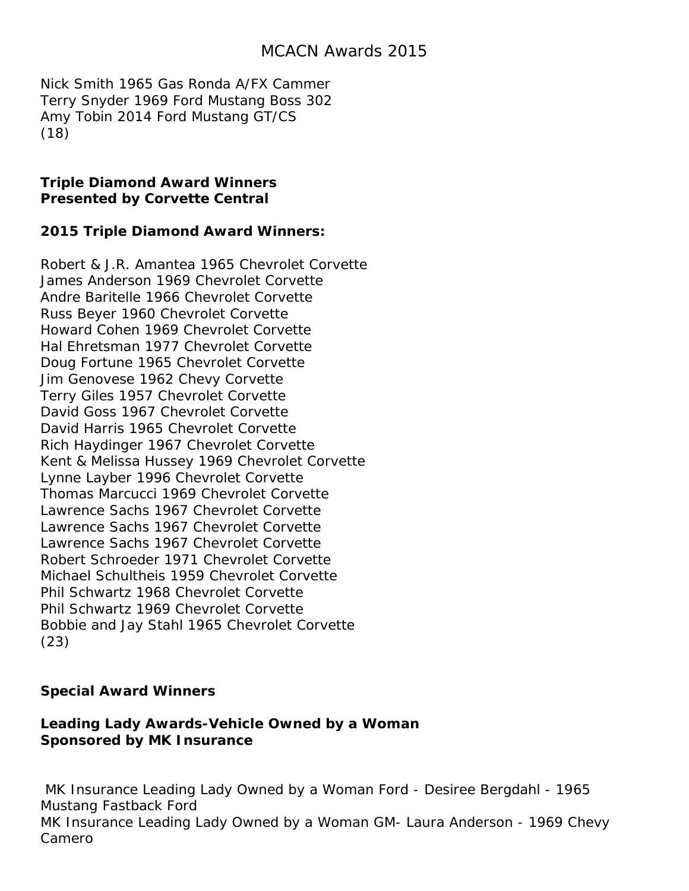Nick Smith 1965 Gas Ronda A/FX Cammer Terry Snyder 1969 Ford Mustang Boss 302 Amy Tobin 2014 Ford Mustang GT/CS (18)

#### **Triple Diamond Award Winners Presented by Corvette Central**

### **2015 Triple Diamond Award Winners:**

Robert & J.R. Amantea 1965 Chevrolet Corvette James Anderson 1969 Chevrolet Corvette Andre Baritelle 1966 Chevrolet Corvette Russ Beyer 1960 Chevrolet Corvette Howard Cohen 1969 Chevrolet Corvette Hal Ehretsman 1977 Chevrolet Corvette Doug Fortune 1965 Chevrolet Corvette Jim Genovese 1962 Chevy Corvette Terry Giles 1957 Chevrolet Corvette David Goss 1967 Chevrolet Corvette David Harris 1965 Chevrolet Corvette Rich Haydinger 1967 Chevrolet Corvette Kent & Melissa Hussey 1969 Chevrolet Corvette Lynne Layber 1996 Chevrolet Corvette Thomas Marcucci 1969 Chevrolet Corvette Lawrence Sachs 1967 Chevrolet Corvette Lawrence Sachs 1967 Chevrolet Corvette Lawrence Sachs 1967 Chevrolet Corvette Robert Schroeder 1971 Chevrolet Corvette Michael Schultheis 1959 Chevrolet Corvette Phil Schwartz 1968 Chevrolet Corvette Phil Schwartz 1969 Chevrolet Corvette Bobbie and Jay Stahl 1965 Chevrolet Corvette (23)

### **Special Award Winners**

### **Leading Lady Awards-Vehicle Owned by a Woman Sponsored by MK Insurance**

MK Insurance Leading Lady Owned by a Woman Ford - Desiree Bergdahl - 1965 Mustang Fastback Ford MK Insurance Leading Lady Owned by a Woman GM- Laura Anderson - 1969 Chevy Camero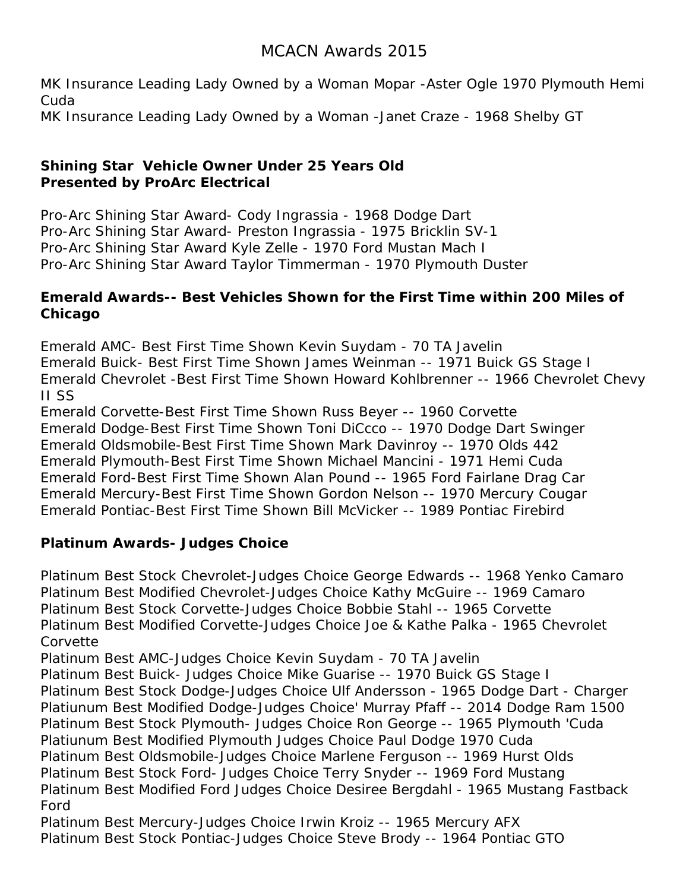MK Insurance Leading Lady Owned by a Woman Mopar -Aster Ogle 1970 Plymouth Hemi Cuda MK Insurance Leading Lady Owned by a Woman -Janet Craze - 1968 Shelby GT

### **Shining Star Vehicle Owner Under 25 Years Old Presented by ProArc Electrical**

Pro-Arc Shining Star Award- Cody Ingrassia - 1968 Dodge Dart Pro-Arc Shining Star Award- Preston Ingrassia - 1975 Bricklin SV-1 Pro-Arc Shining Star Award Kyle Zelle - 1970 Ford Mustan Mach I Pro-Arc Shining Star Award Taylor Timmerman - 1970 Plymouth Duster

### **Emerald Awards-- Best Vehicles Shown for the First Time within 200 Miles of Chicago**

Emerald AMC- Best First Time Shown Kevin Suydam - 70 TA Javelin Emerald Buick- Best First Time Shown James Weinman -- 1971 Buick GS Stage I Emerald Chevrolet -Best First Time Shown Howard Kohlbrenner -- 1966 Chevrolet Chevy II SS

Emerald Corvette-Best First Time Shown Russ Beyer -- 1960 Corvette Emerald Dodge-Best First Time Shown Toni DiCcco -- 1970 Dodge Dart Swinger Emerald Oldsmobile-Best First Time Shown Mark Davinroy -- 1970 Olds 442 Emerald Plymouth-Best First Time Shown Michael Mancini - 1971 Hemi Cuda Emerald Ford-Best First Time Shown Alan Pound -- 1965 Ford Fairlane Drag Car Emerald Mercury-Best First Time Shown Gordon Nelson -- 1970 Mercury Cougar Emerald Pontiac-Best First Time Shown Bill McVicker -- 1989 Pontiac Firebird

### **Platinum Awards- Judges Choice**

Platinum Best Stock Chevrolet-Judges Choice George Edwards -- 1968 Yenko Camaro Platinum Best Modified Chevrolet-Judges Choice Kathy McGuire -- 1969 Camaro Platinum Best Stock Corvette-Judges Choice Bobbie Stahl -- 1965 Corvette Platinum Best Modified Corvette-Judges Choice Joe & Kathe Palka - 1965 Chevrolet Corvette

Platinum Best AMC-Judges Choice Kevin Suydam - 70 TA Javelin

Platinum Best Buick- Judges Choice Mike Guarise -- 1970 Buick GS Stage I Platinum Best Stock Dodge-Judges Choice Ulf Andersson - 1965 Dodge Dart - Charger Platiunum Best Modified Dodge-Judges Choice' Murray Pfaff -- 2014 Dodge Ram 1500 Platinum Best Stock Plymouth- Judges Choice Ron George -- 1965 Plymouth 'Cuda Platiunum Best Modified Plymouth Judges Choice Paul Dodge 1970 Cuda Platinum Best Oldsmobile-Judges Choice Marlene Ferguson -- 1969 Hurst Olds Platinum Best Stock Ford- Judges Choice Terry Snyder -- 1969 Ford Mustang Platinum Best Modified Ford Judges Choice Desiree Bergdahl - 1965 Mustang Fastback Ford

Platinum Best Mercury-Judges Choice Irwin Kroiz -- 1965 Mercury AFX Platinum Best Stock Pontiac-Judges Choice Steve Brody -- 1964 Pontiac GTO